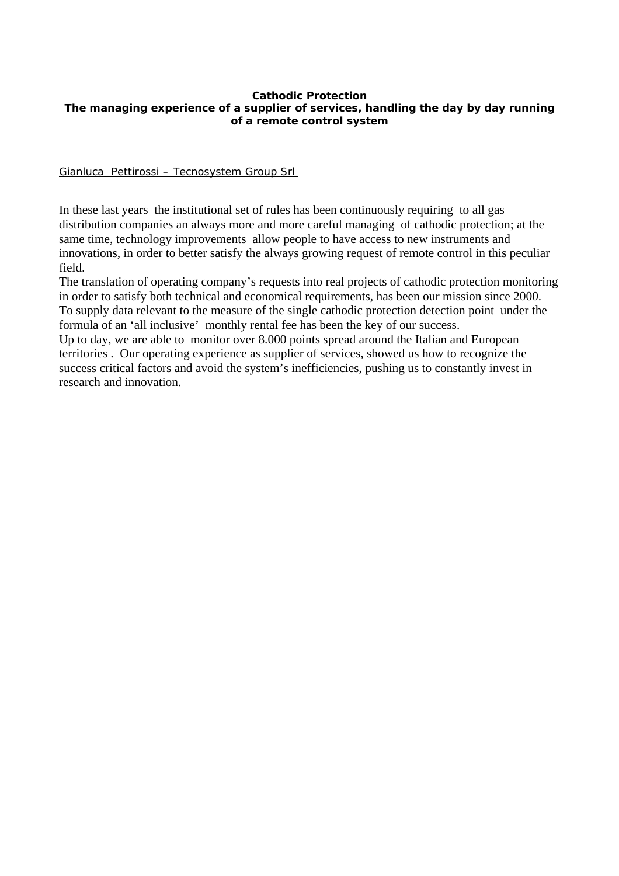#### **Cathodic Protection The managing experience of a supplier of services, handling the day by day running of a remote control system**

Gianluca Pettirossi – Tecnosystem Group Srl

In these last years the institutional set of rules has been continuously requiring to all gas distribution companies an always more and more careful managing of cathodic protection; at the same time, technology improvements allow people to have access to new instruments and innovations, in order to better satisfy the always growing request of remote control in this peculiar field.

The translation of operating company's requests into real projects of cathodic protection monitoring in order to satisfy both technical and economical requirements, has been our mission since 2000. To supply data relevant to the measure of the single cathodic protection detection point under the formula of an 'all inclusive' monthly rental fee has been the key of our success.

Up to day, we are able to monitor over 8.000 points spread around the Italian and European territories . Our operating experience as supplier of services, showed us how to recognize the success critical factors and avoid the system's inefficiencies, pushing us to constantly invest in research and innovation.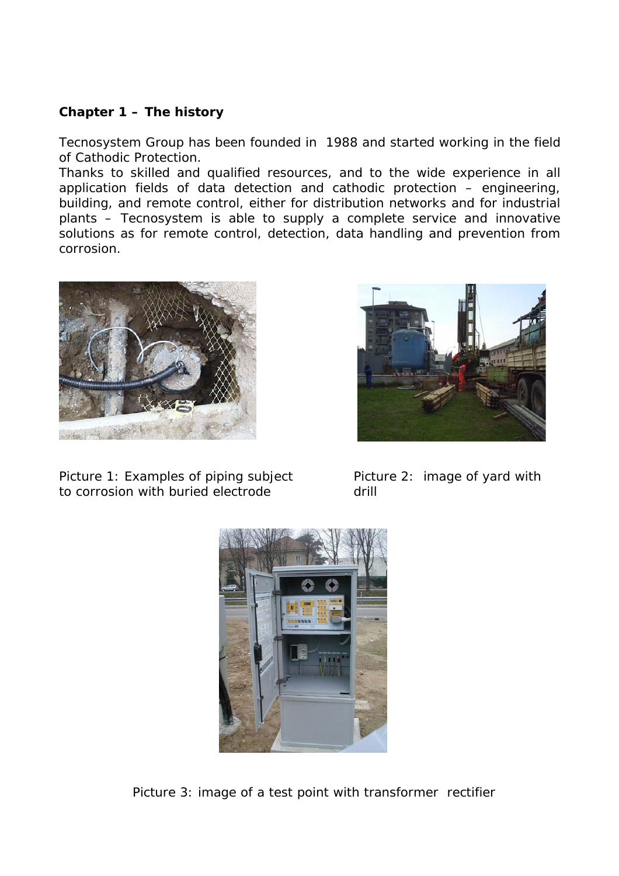# **Chapter 1 – The history**

Tecnosystem Group has been founded in 1988 and started working in the field of Cathodic Protection.

Thanks to skilled and qualified resources, and to the wide experience in all application fields of data detection and cathodic protection – engineering, building, and remote control, either for distribution networks and for industrial plants – Tecnosystem is able to supply a complete service and innovative solutions as for remote control, detection, data handling and prevention from corrosion.



Picture 1: Examples of piping subject Picture 2: image of yard with to corrosion with buried electrode drill





Picture 3: image of a test point with transformer rectifier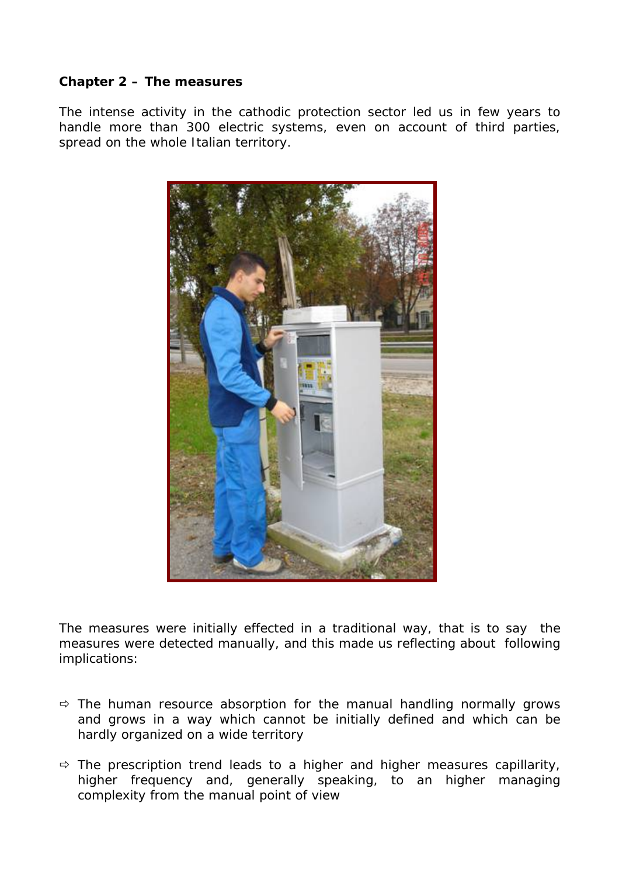# **Chapter 2 – The measures**

The intense activity in the cathodic protection sector led us in few years to handle more than 300 electric systems, even on account of third parties, spread on the whole Italian territory.



The measures were initially effected in a traditional way, that is to say the measures were detected manually, and this made us reflecting about following implications:

- $\Rightarrow$  The human resource absorption for the manual handling normally grows and grows in a way which cannot be initially defined and which can be hardly organized on a wide territory
- $\Rightarrow$  The prescription trend leads to a higher and higher measures capillarity, higher frequency and, generally speaking, to an higher managing complexity from the manual point of view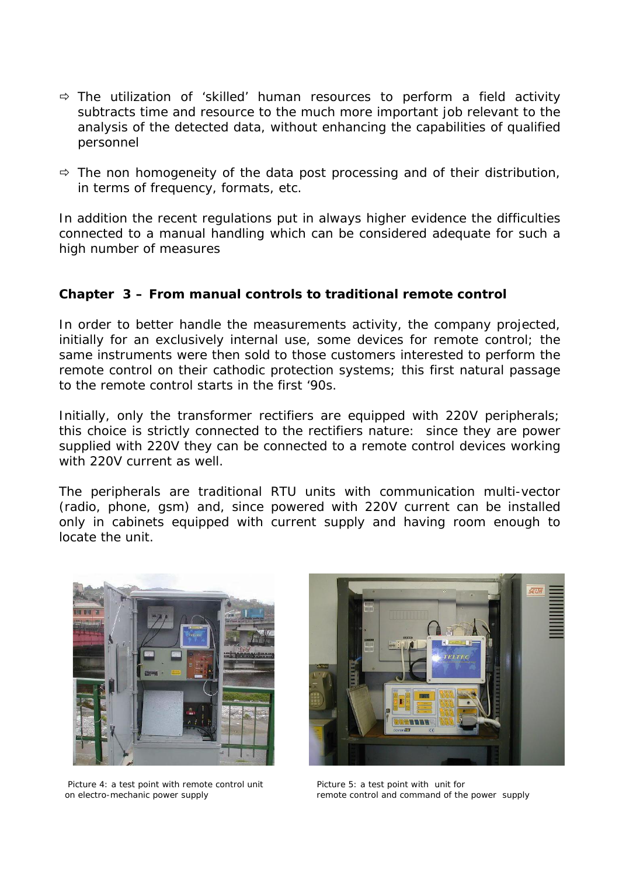- $\Rightarrow$  The utilization of 'skilled' human resources to perform a field activity subtracts time and resource to the much more important job relevant to the analysis of the detected data, without enhancing the capabilities of qualified personnel
- $\Rightarrow$  The non homogeneity of the data post processing and of their distribution, in terms of frequency, formats, etc.

*In addition the recent regulations put in always higher evidence the difficulties connected to a manual handling which can be considered adequate for such a high number of measures* 

#### **Chapter 3 – From manual controls to traditional remote control**

In order to better handle the measurements activity, the company projected, initially for an exclusively internal use, some devices for remote control; the same instruments were then sold to those customers interested to perform the remote control on their cathodic protection systems; this first natural passage to the remote control starts in the first '90s.

Initially, only the transformer rectifiers are equipped with 220V peripherals; this choice is strictly connected to the rectifiers nature: since they are power supplied with 220V they can be connected to a remote control devices working with 220V current as well.

The peripherals are traditional RTU units with communication multi-vector (radio, phone, gsm) and, since powered with 220V current can be installed only in cabinets equipped with current supply and having room enough to locate the unit.



Picture 4: a test point with remote control unit Picture 5: a test point with unit for



on electro-mechanic power supply remote control and command of the power supply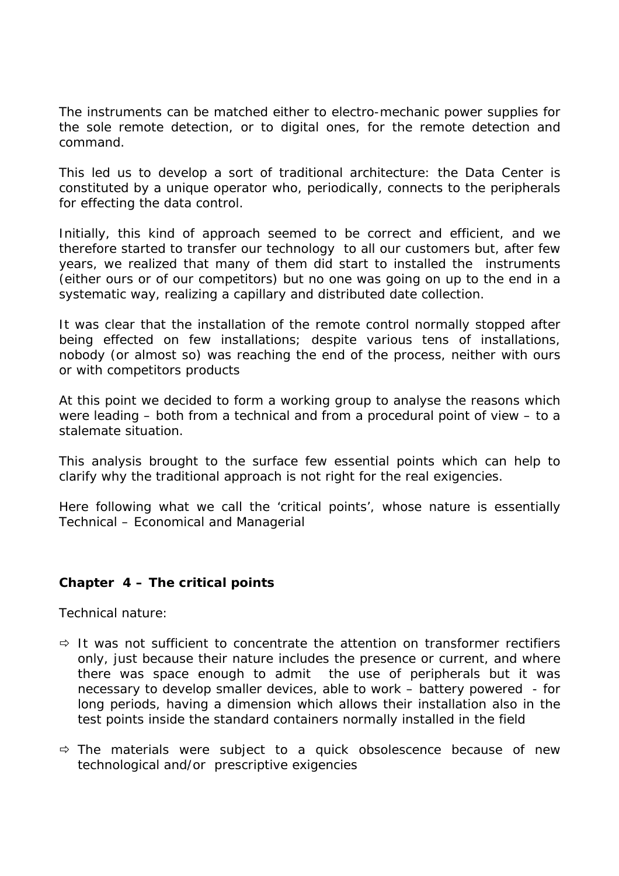The instruments can be matched either to electro-mechanic power supplies for the sole remote detection, or to digital ones, for the remote detection and command.

This led us to develop a sort of traditional architecture: the Data Center is constituted by a unique operator who, periodically, connects to the peripherals for effecting the data control.

Initially, this kind of approach seemed to be correct and efficient, and we therefore started to transfer our technology to all our customers but, after few years, we realized that many of them did start to installed the instruments (either ours or of our competitors) but no one was going on up to the end in a systematic way, realizing a capillary and distributed date collection.

It was clear that the installation of the remote control normally stopped after being effected on few installations; despite various tens of installations, nobody (or almost so) was reaching the end of the process, neither with ours or with competitors products

At this point we decided to form a working group to analyse the reasons which were leading – both from a technical and from a procedural point of view – to a stalemate situation.

This analysis brought to the surface few essential points which can help to clarify why the traditional approach is not right for the real exigencies.

Here following what we call the 'critical points', whose nature is essentially Technical – Economical and Managerial

# **Chapter 4 – The critical points**

*Technical nature:* 

- $\Rightarrow$  It was not sufficient to concentrate the attention on transformer rectifiers only, just because their nature includes the presence or current, and where there was space enough to admit the use of peripherals but it was necessary to develop smaller devices, able to work – battery powered - for long periods, having a dimension which allows their installation also in the test points inside the standard containers normally installed in the field
- $\Rightarrow$  The materials were subject to a quick obsolescence because of new technological and/or prescriptive exigencies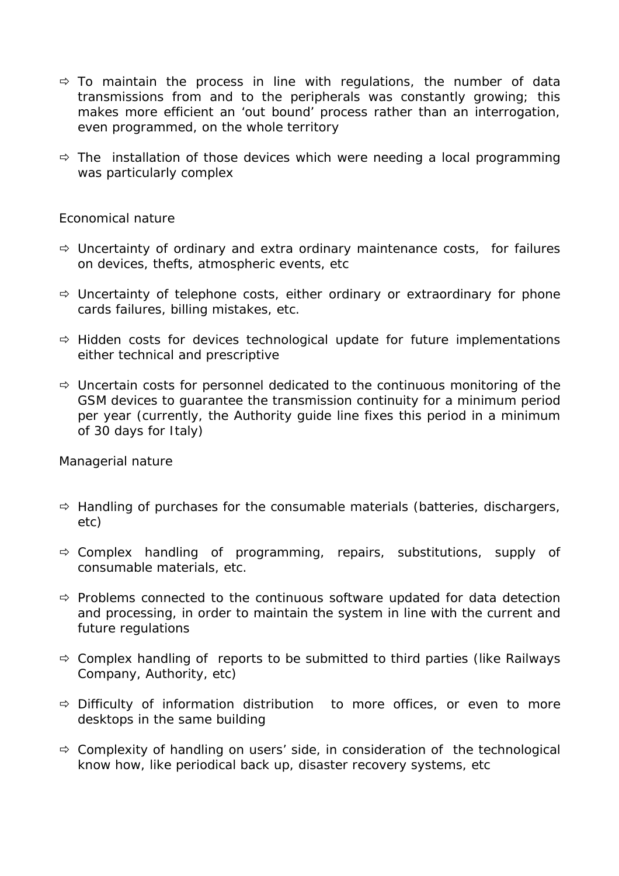- $\Rightarrow$  To maintain the process in line with regulations, the number of data transmissions from and to the peripherals was constantly growing; this makes more efficient an 'out bound' process rather than an interrogation, even programmed, on the whole territory
- $\Rightarrow$  The installation of those devices which were needing a local programming was particularly complex

### *Economical nature*

- $\Rightarrow$  Uncertainty of ordinary and extra ordinary maintenance costs, for failures on devices, thefts, atmospheric events, etc
- $\Rightarrow$  Uncertainty of telephone costs, either ordinary or extraordinary for phone cards failures, billing mistakes, etc.
- $\Rightarrow$  Hidden costs for devices technological update for future implementations either technical and prescriptive
- $\Rightarrow$  Uncertain costs for personnel dedicated to the continuous monitoring of the GSM devices to guarantee the transmission continuity for a minimum period per year (currently, the Authority guide line fixes this period in a minimum of 30 days for Italy)

#### *Managerial nature*

- $\Rightarrow$  Handling of purchases for the consumable materials (batteries, dischargers, etc)
- $\Rightarrow$  Complex handling of programming, repairs, substitutions, supply of consumable materials, etc.
- $\Rightarrow$  Problems connected to the continuous software updated for data detection and processing, in order to maintain the system in line with the current and future regulations
- $\Rightarrow$  Complex handling of reports to be submitted to third parties (like Railways Company, Authority, etc)
- $\Rightarrow$  Difficulty of information distribution to more offices, or even to more desktops in the same building
- $\Rightarrow$  Complexity of handling on users' side, in consideration of the technological know how, like periodical back up, disaster recovery systems, etc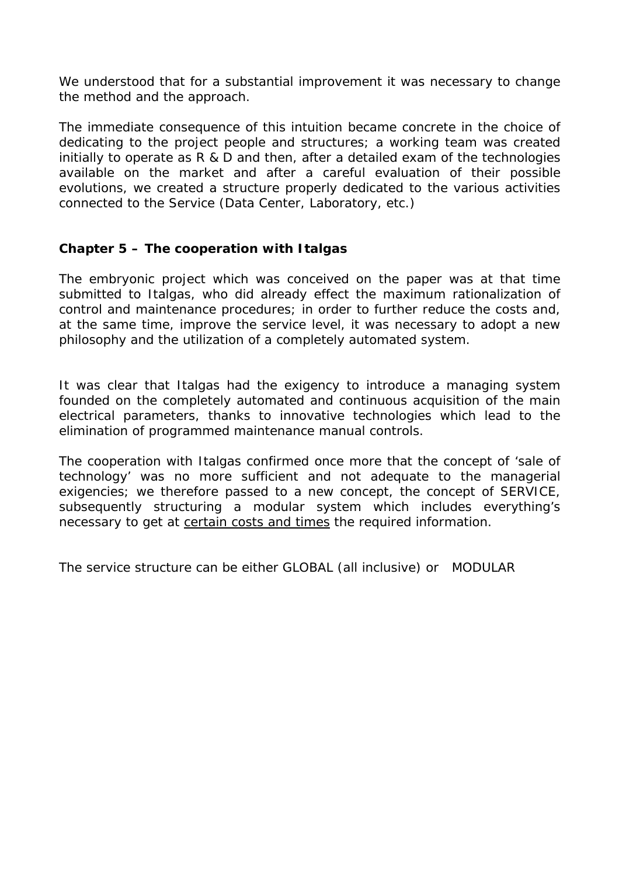We understood that for a substantial improvement it was necessary to change the method and the approach.

The immediate consequence of this intuition became concrete in the choice of dedicating to the project people and structures; a working team was created initially to operate as R & D and then, after a detailed exam of the technologies available on the market and after a careful evaluation of their possible evolutions, we created a structure properly dedicated to the various activities connected to the Service (Data Center, Laboratory, etc.)

# **Chapter 5 – The cooperation with Italgas**

The embryonic project which was conceived on the paper was at that time submitted to Italgas, who did already effect the maximum rationalization of control and maintenance procedures; in order to further reduce the costs and, at the same time, improve the service level, it was necessary to adopt a new philosophy and the utilization of a completely automated system.

It was clear that Italgas had the exigency to introduce a managing system founded on the completely automated and continuous acquisition of the main electrical parameters, thanks to innovative technologies which lead to the elimination of programmed maintenance manual controls.

The cooperation with Italgas confirmed once more that the concept of 'sale of technology' was no more sufficient and not adequate to the managerial exigencies; we therefore passed to a new concept, the concept of SERVICE, subsequently structuring a modular system which includes everything's necessary to get at certain costs and times the required information.

The service structure can be either *GLOBAL (all inclusive) or MODULAR*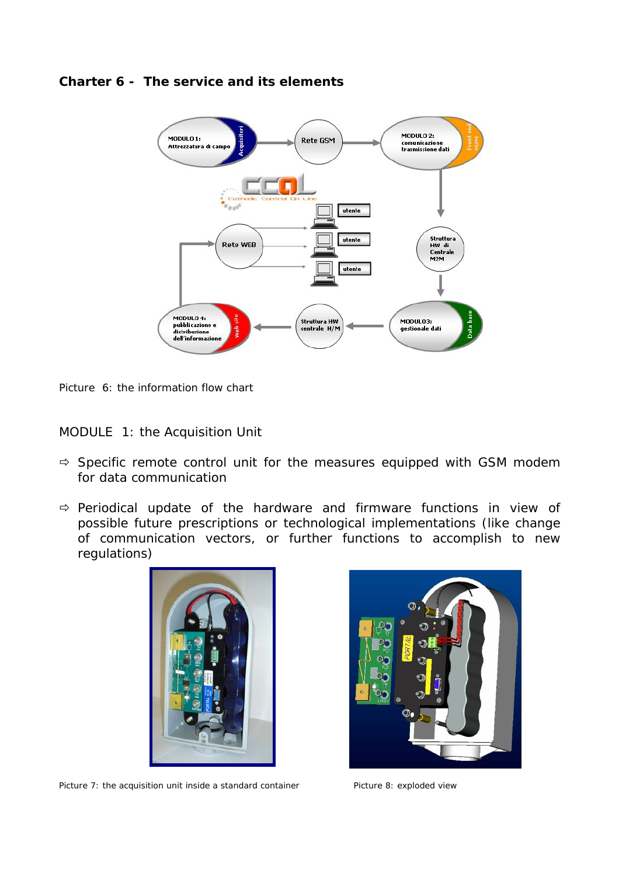

#### **Charter 6 - The service and its elements**

Picture 6: the information flow chart

*MODULE 1: the Acquisition Unit* 

- $\Rightarrow$  Specific remote control unit for the measures equipped with GSM modem for data communication
- $\Rightarrow$  Periodical update of the hardware and firmware functions in view of possible future prescriptions or technological implementations (like change of communication vectors, or further functions to accomplish to new regulations)



Picture 7: the acquisition unit inside a standard container Picture 8: exploded view

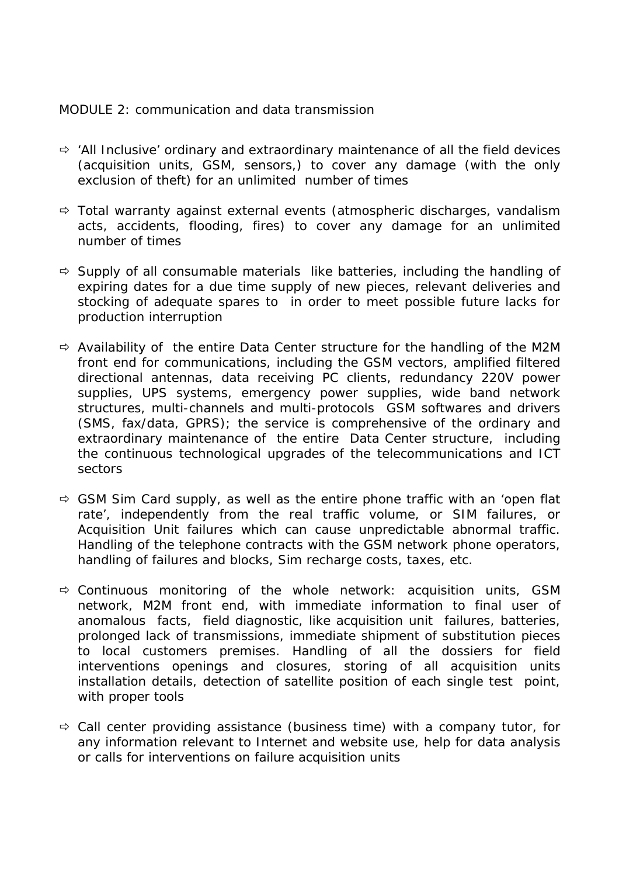### *MODULE 2: communication and data transmission*

- $\Rightarrow$  'All Inclusive' ordinary and extraordinary maintenance of all the field devices (acquisition units, GSM, sensors,) to cover any damage (with the only exclusion of theft) for an unlimited number of times
- $\Rightarrow$  Total warranty against external events (atmospheric discharges, vandalism acts, accidents, flooding, fires) to cover any damage for an unlimited number of times
- $\Rightarrow$  Supply of all consumable materials like batteries, including the handling of expiring dates for a due time supply of new pieces, relevant deliveries and stocking of adequate spares to in order to meet possible future lacks for production interruption
- $\Rightarrow$  Availability of the entire Data Center structure for the handling of the M2M front end for communications, including the GSM vectors, amplified filtered directional antennas, data receiving PC clients, redundancy 220V power supplies, UPS systems, emergency power supplies, wide band network structures, multi-channels and multi-protocols GSM softwares and drivers (SMS, fax/data, GPRS); the service is comprehensive of the ordinary and extraordinary maintenance of the entire Data Center structure, including the continuous technological upgrades of the telecommunications and ICT sectors
- $\Rightarrow$  GSM Sim Card supply, as well as the entire phone traffic with an 'open flat rate', independently from the real traffic volume, or SIM failures, or Acquisition Unit failures which can cause unpredictable abnormal traffic. Handling of the telephone contracts with the GSM network phone operators, handling of failures and blocks, Sim recharge costs, taxes, etc.
- $\Rightarrow$  Continuous monitoring of the whole network: acquisition units, GSM network, M2M front end, with immediate information to final user of anomalous facts, field diagnostic, like acquisition unit failures, batteries, prolonged lack of transmissions, immediate shipment of substitution pieces to local customers premises. Handling of all the dossiers for field interventions openings and closures, storing of all acquisition units installation details, detection of satellite position of each single test point, with proper tools
- $\Rightarrow$  Call center providing assistance (business time) with a company tutor, for any information relevant to Internet and website use, help for data analysis or calls for interventions on failure acquisition units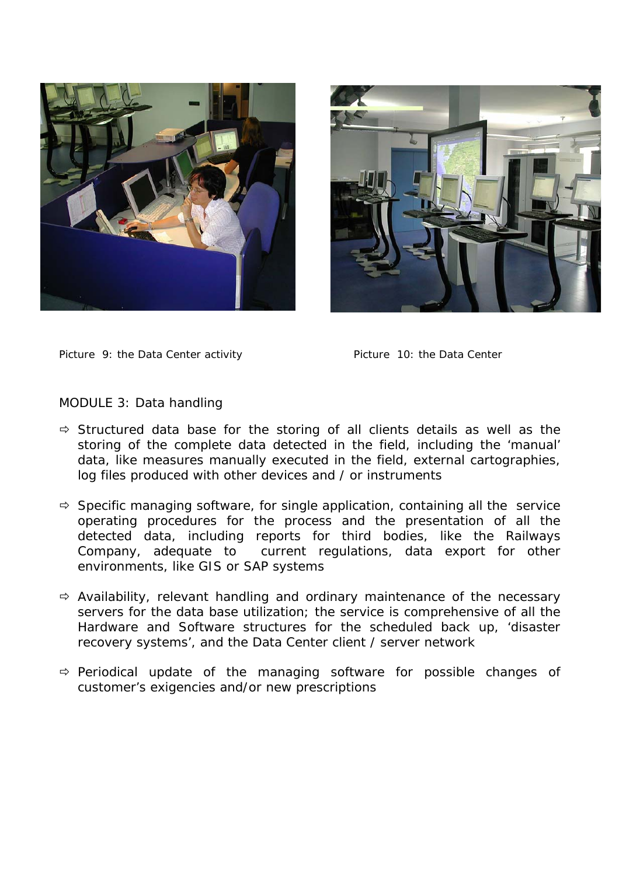



Picture 9: the Data Center activity **Picture 10: the Data Center** 

#### *MODULE 3: Data handling*

- $\Rightarrow$  Structured data base for the storing of all clients details as well as the storing of the complete data detected in the field, including the 'manual' data, like measures manually executed in the field, external cartographies, log files produced with other devices and / or instruments
- $\Rightarrow$  Specific managing software, for single application, containing all the service operating procedures for the process and the presentation of all the detected data, including reports for third bodies, like the Railways Company, adequate to current regulations, data export for other environments, like GIS or SAP systems
- $\Rightarrow$  Availability, relevant handling and ordinary maintenance of the necessary servers for the data base utilization; the service is comprehensive of all the Hardware and Software structures for the scheduled back up, 'disaster recovery systems', and the Data Center client / server network
- $\Rightarrow$  Periodical update of the managing software for possible changes of customer's exigencies and/or new prescriptions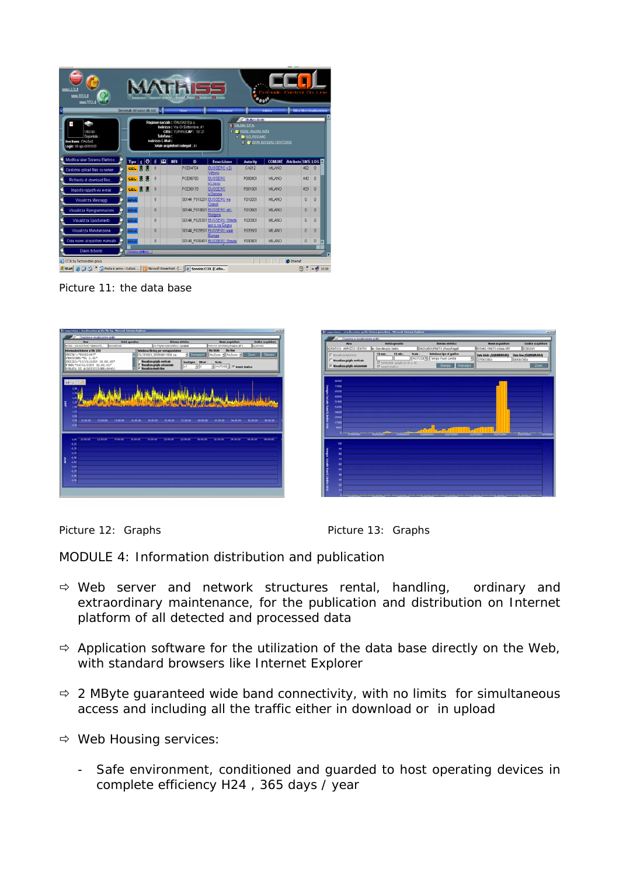| <b>MAN LLOL I</b><br>0.<br>WWW.RROL.t<br>WWW.PPOLE                    |                                  |  |                   |                |            | <b>MATHES</b><br>$\label{eq:11} \text{ 1.67} \text{ (a) } \text{ and } \text{ 1.67} \text{ (b) } \text{ (c) } \text{ (d) } \text{ (e) } \text{ (f) } \text{ (g) } \text{ (h) } \text{ (i)} \text{ (ii)} \text{ (iii)} \text{ (iv)} \text{ (iv)} \text{ (v)} \text{ (v)} \text{ (vi)} \text{ (vi)} \text{ (v)} \text{ (vi)} \text{ (v)} \text{ (vi)} \text{ (v)} \text{ (vi)} \text{ (vi)} \text{ (v)} \text{ (vi)} \text{ (v)} \text{ (vi)} \text{ (v)} \text{ (vi)} \$ |                                         |                                                                                                | <b>Eatherle</b>                        | Control On Line                          |                         |   |
|-----------------------------------------------------------------------|----------------------------------|--|-------------------|----------------|------------|-------------------------------------------------------------------------------------------------------------------------------------------------------------------------------------------------------------------------------------------------------------------------------------------------------------------------------------------------------------------------------------------------------------------------------------------------------------------------|-----------------------------------------|------------------------------------------------------------------------------------------------|----------------------------------------|------------------------------------------|-------------------------|---|
| bizzato<br>Disponibile<br>UserName: ITALGAS<br>Login: 08-apr-06110.02 | Benvenuto nel nuovo sito copi K. |  | Indirizzo E-Mail: | Telefono:      |            | Ragione sociale: ITALGAS S.p.a.<br>Indirizzo: Via XX Settembre 41<br>Città: TORINOCAP: 10121<br>Totale acquisitori collegati : 48                                                                                                                                                                                                                                                                                                                                       | Informazioni                            | Shara dirett<br><b>TINLOAS S.P.A.</b><br>T & NORD - MILANO NORD<br><b>B &amp; U.O. PESSANO</b> | Indebt<br>C & SOMA BUSSERO VOIVITIORIO | <b>III I Status film visualizzazione</b> |                         |   |
| Modifica label Sistema Elettrico                                      | Tipo   t   ③                     |  | <b>A</b>          | $\overline{m}$ | <b>MRI</b> | 10                                                                                                                                                                                                                                                                                                                                                                                                                                                                      | <b>Descrizione</b>                      | <b>Autority</b>                                                                                | <b>COMUNE</b>                          | Attributo SMS LOG                        |                         |   |
| Gestione upload files su server.                                      | CEL                              |  | 0                 |                |            | PCE04704                                                                                                                                                                                                                                                                                                                                                                                                                                                                | BUSSERO v.Di<br>Vittorio                | CA012                                                                                          | <b>MILANO</b>                          | 462                                      | $\theta$                |   |
| Richiesta di download files                                           | CEL                              |  | $\theta$          |                |            | PCE06780                                                                                                                                                                                                                                                                                                                                                                                                                                                                | <b>BUSSERO</b><br>v Lossu               | P000401                                                                                        | MLANO                                  | 440                                      | $\Omega$                |   |
| Imposta rapporti via e-mail                                           | CEL 3 3                          |  | $\theta$          |                |            | PCE08178                                                                                                                                                                                                                                                                                                                                                                                                                                                                | <b>BUSSERO</b><br>v. Genova             | P001001                                                                                        | <b>MLANO</b>                           | 459                                      | $\theta$                |   |
| Visualizza Messaggi                                                   | MAN                              |  | $\theta$          |                |            | S0144 F010201 BUSSERO wa                                                                                                                                                                                                                                                                                                                                                                                                                                                |                                         | F010201                                                                                        | <b>MLANO</b>                           | $\theta$                                 | $\bf{0}$                |   |
| Visualizza Riprogrammazioni                                           | MAN                              |  | $\theta$          |                |            | S0144 F010601 BUSSERO attr.                                                                                                                                                                                                                                                                                                                                                                                                                                             | Grand                                   | F010601                                                                                        | <b>MLANO</b>                           | $\theta$                                 | $\overline{\mathsf{n}}$ |   |
| Visualizza Spostamenti                                                | MAN                              |  | $\theta$          |                |            |                                                                                                                                                                                                                                                                                                                                                                                                                                                                         | Molgora<br>S0144_F020301_BUSSERO_Strada | F020301                                                                                        | <b>MILANO</b>                          | $\theta$                                 | n                       |   |
| Visualizza Manutenzione                                               | MAN                              |  | $\theta$          |                |            | S0144_F020501_BUSSERO viale                                                                                                                                                                                                                                                                                                                                                                                                                                             | per cina Gogna                          | F020501                                                                                        | <b>MILANO</b>                          | $\theta$                                 | $\Omega$                |   |
| Crea nuovo acquisitore manuale                                        | <b>MAN</b>                       |  | $\theta$          |                |            |                                                                                                                                                                                                                                                                                                                                                                                                                                                                         | Europa<br>S0144_F030401_BUSSERO_Strada  | F030401                                                                                        | <b>MILANO</b>                          | $\theta$                                 | $\theta$                | × |
| Diario di bordo                                                       | Schema rictico                   |  |                   |                |            |                                                                                                                                                                                                                                                                                                                                                                                                                                                                         |                                         |                                                                                                |                                        |                                          |                         |   |
|                                                                       |                                  |  |                   |                |            |                                                                                                                                                                                                                                                                                                                                                                                                                                                                         |                                         |                                                                                                |                                        |                                          |                         |   |

Picture 11: the data base



| Area                                             | <b>Unità operativa</b>                                  | Sistema stettézo                                                            | None scquishore                      | <b>Codice acquisitore</b>          |
|--------------------------------------------------|---------------------------------------------------------|-----------------------------------------------------------------------------|--------------------------------------|------------------------------------|
| ADRIATION - ABRUZZO CENTRO                       | les Gres Abrutzo Centro                                 | INGO TOURIST O T BATTLESS LCCORE                                            | FOTOBIC PINETO vDoria GRIF           | SCEODERT                           |
| F Monten deid for<br>Visualiza griglia verticale | F% min<br><b>FX max</b><br>F INFOUNIE spigliests #Ca 30 | Seleziona tipo di grafica<br><b>Neata</b><br>AUTOSE Tempo Fuori Limite<br>Σ | (MAARBRIDD) okkel stud<br>27/05/2004 | Data fine (GGORRAAAA)<br>0509/2004 |
| <sup>[2]</sup> Msualizza griglia relzzontale     | E insett titation                                       | Stamps Ridsegna                                                             |                                      | $Z$ ana                            |
| 86500                                            |                                                         |                                                                             |                                      |                                    |
| 77050                                            |                                                         |                                                                             |                                      |                                    |
| elçoc<br>60550                                   |                                                         |                                                                             |                                      |                                    |
| 51900                                            |                                                         |                                                                             |                                      |                                    |
| 43258                                            |                                                         |                                                                             |                                      |                                    |
|                                                  |                                                         |                                                                             |                                      |                                    |
| 24000                                            |                                                         |                                                                             |                                      |                                    |
| <b>BW</b>                                        |                                                         |                                                                             |                                      |                                    |
| 17300                                            |                                                         |                                                                             |                                      |                                    |
| <b>WAL</b>                                       |                                                         |                                                                             |                                      |                                    |
| <b>Thingson</b>                                  | <b>MAGINA INSURA</b>                                    | <b>STANDAR</b><br><b>MADONE</b>                                             | <b>SWORDS</b><br><b>TERRITORY</b>    | <b>Surrane</b>                     |
| 100                                              |                                                         |                                                                             |                                      |                                    |
| ٠                                                |                                                         |                                                                             |                                      |                                    |
|                                                  |                                                         |                                                                             |                                      |                                    |
| ×                                                |                                                         |                                                                             |                                      |                                    |
| w<br>w                                           |                                                         |                                                                             |                                      |                                    |
| e                                                |                                                         |                                                                             |                                      |                                    |
| ×                                                |                                                         |                                                                             |                                      |                                    |
| ×<br>u                                           |                                                         |                                                                             |                                      | <b>AT/IN/29</b>                    |

Picture 12: Graphs Picture 13: Graphs

# *MODULE 4: Information distribution and publication*

- $\Rightarrow$  Web server and network structures rental, handling, ordinary and extraordinary maintenance, for the publication and distribution on Internet platform of all detected and processed data
- $\Rightarrow$  Application software for the utilization of the data base directly on the Web, with standard browsers like Internet Explorer
- $\Rightarrow$  2 MByte guaranteed wide band connectivity, with no limits for simultaneous access and including all the traffic either in download or in upload
- $\Rightarrow$  Web Housing services:
	- Safe environment, conditioned and guarded to host operating devices in complete efficiency H24 , 365 days / year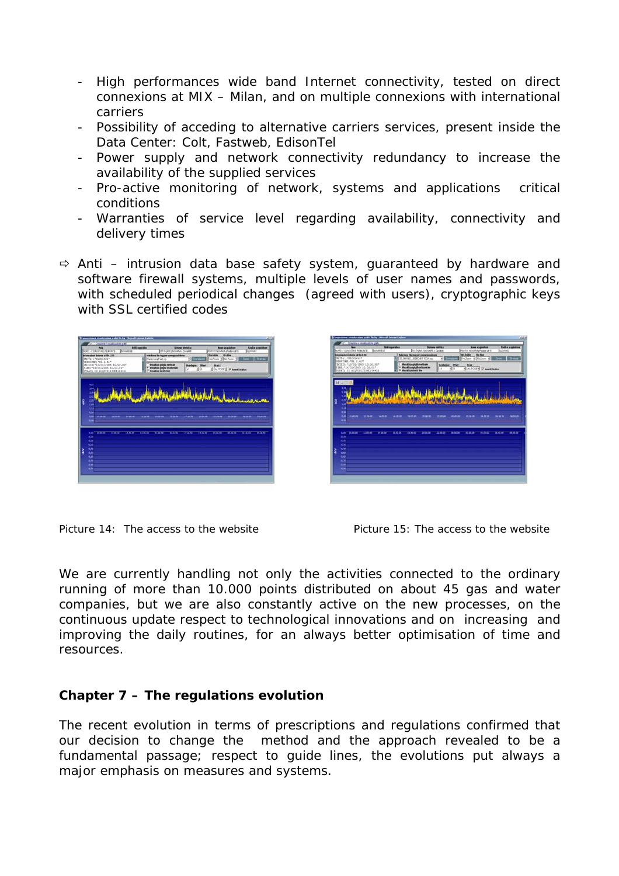- High performances wide band Internet connectivity, tested on direct connexions at MIX – Milan, and on multiple connexions with international carriers
- Possibility of acceding to alternative carriers services, present inside the Data Center: Colt, Fastweb, EdisonTel
- Power supply and network connectivity redundancy to increase the availability of the supplied services
- Pro-active monitoring of network, systems and applications critical conditions
- Warranties of service level regarding availability, connectivity and delivery times
- $\Rightarrow$  Anti intrusion data base safety system, guaranteed by hardware and software firewall systems, multiple levels of user names and passwords, with scheduled periodical changes (agreed with users), cryptographic keys with SSL certified codes





Picture 14: The access to the website Picture 15: The access to the website

We are currently handling not only the activities connected to the ordinary running of more than 10.000 points distributed on about 45 gas and water companies, but we are also constantly active on the new processes, on the continuous update respect to technological innovations and on increasing and improving the daily routines, for an always better optimisation of time and resources.

# **Chapter 7 – The regulations evolution**

The recent evolution in terms of prescriptions and regulations confirmed that our decision to change the method and the approach revealed to be a fundamental passage; respect to guide lines, the evolutions put always a major emphasis on measures and systems.